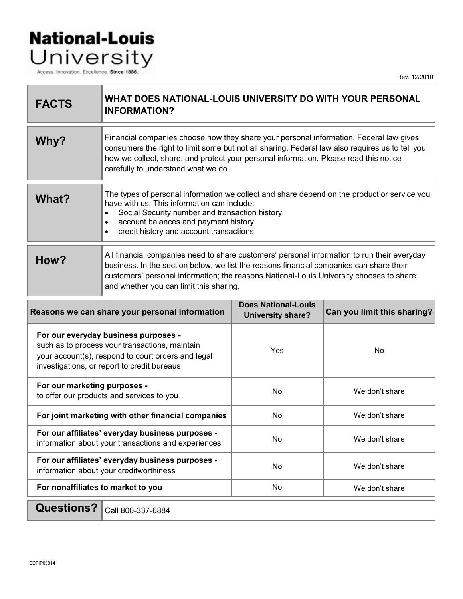## **National-Louis** University

Access. Innovation. Excellence. Since 1886.

Rev. 12/2010

| <b>FACTS</b>                                                                                                                                                                                | WHAT DOES NATIONAL-LOUIS UNIVERSITY DO WITH YOUR PERSONAL<br><b>INFORMATION?</b>                                                                                                                                                                                                                                              |                                                        |                             |
|---------------------------------------------------------------------------------------------------------------------------------------------------------------------------------------------|-------------------------------------------------------------------------------------------------------------------------------------------------------------------------------------------------------------------------------------------------------------------------------------------------------------------------------|--------------------------------------------------------|-----------------------------|
| Why?                                                                                                                                                                                        | Financial companies choose how they share your personal information. Federal law gives<br>consumers the right to limit some but not all sharing. Federal law also requires us to tell you<br>how we collect, share, and protect your personal information. Please read this notice<br>carefully to understand what we do.     |                                                        |                             |
| <b>What?</b>                                                                                                                                                                                | The types of personal information we collect and share depend on the product or service you<br>have with us. This information can include:<br>Social Security number and transaction history<br>$\bullet$<br>account balances and payment history<br>$\bullet$<br>credit history and account transactions<br>$\bullet$        |                                                        |                             |
| How?                                                                                                                                                                                        | All financial companies need to share customers' personal information to run their everyday<br>business. In the section below, we list the reasons financial companies can share their<br>customers' personal information; the reasons National-Louis University chooses to share;<br>and whether you can limit this sharing. |                                                        |                             |
| Reasons we can share your personal information                                                                                                                                              |                                                                                                                                                                                                                                                                                                                               | <b>Does National-Louis</b><br><b>University share?</b> | Can you limit this sharing? |
| For our everyday business purposes -<br>such as to process your transactions, maintain<br>your account(s), respond to court orders and legal<br>investigations, or report to credit bureaus |                                                                                                                                                                                                                                                                                                                               | Yes                                                    | <b>No</b>                   |
| For our marketing purposes -<br>to offer our products and services to you                                                                                                                   |                                                                                                                                                                                                                                                                                                                               | No                                                     | We don't share              |
| For joint marketing with other financial companies                                                                                                                                          |                                                                                                                                                                                                                                                                                                                               | No                                                     | We don't share              |
| For our affiliates' everyday business purposes -<br>information about your transactions and experiences                                                                                     |                                                                                                                                                                                                                                                                                                                               | No                                                     | We don't share              |
| For our affiliates' everyday business purposes -<br>information about your creditworthiness                                                                                                 |                                                                                                                                                                                                                                                                                                                               | No                                                     | We don't share              |
| For nonaffiliates to market to you                                                                                                                                                          |                                                                                                                                                                                                                                                                                                                               | No                                                     | We don't share              |
| $\Omega$ uestions? $\int_{\Omega}$ uessess $\Omega$                                                                                                                                         |                                                                                                                                                                                                                                                                                                                               |                                                        |                             |

**PSUONS :** Call 800-337-6884